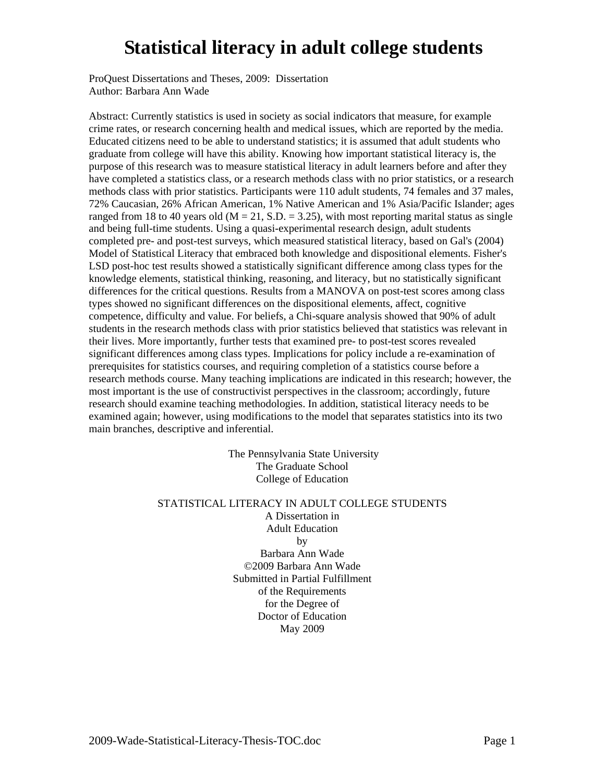ProQuest Dissertations and Theses, 2009: Dissertation Author: Barbara Ann Wade

Abstract: Currently statistics is used in society as social indicators that measure, for example crime rates, or research concerning health and medical issues, which are reported by the media. Educated citizens need to be able to understand statistics; it is assumed that adult students who graduate from college will have this ability. Knowing how important statistical literacy is, the purpose of this research was to measure statistical literacy in adult learners before and after they have completed a statistics class, or a research methods class with no prior statistics, or a research methods class with prior statistics. Participants were 110 adult students, 74 females and 37 males, 72% Caucasian, 26% African American, 1% Native American and 1% Asia/Pacific Islander; ages ranged from 18 to 40 years old ( $M = 21$ , S.D. = 3.25), with most reporting marital status as single and being full-time students. Using a quasi-experimental research design, adult students completed pre- and post-test surveys, which measured statistical literacy, based on Gal's (2004) Model of Statistical Literacy that embraced both knowledge and dispositional elements. Fisher's LSD post-hoc test results showed a statistically significant difference among class types for the knowledge elements, statistical thinking, reasoning, and literacy, but no statistically significant differences for the critical questions. Results from a MANOVA on post-test scores among class types showed no significant differences on the dispositional elements, affect, cognitive competence, difficulty and value. For beliefs, a Chi-square analysis showed that 90% of adult students in the research methods class with prior statistics believed that statistics was relevant in their lives. More importantly, further tests that examined pre- to post-test scores revealed significant differences among class types. Implications for policy include a re-examination of prerequisites for statistics courses, and requiring completion of a statistics course before a research methods course. Many teaching implications are indicated in this research; however, the most important is the use of constructivist perspectives in the classroom; accordingly, future research should examine teaching methodologies. In addition, statistical literacy needs to be examined again; however, using modifications to the model that separates statistics into its two main branches, descriptive and inferential.

> The Pennsylvania State University The Graduate School College of Education

### STATISTICAL LITERACY IN ADULT COLLEGE STUDENTS

A Dissertation in Adult Education by Barbara Ann Wade ©2009 Barbara Ann Wade Submitted in Partial Fulfillment of the Requirements for the Degree of Doctor of Education May 2009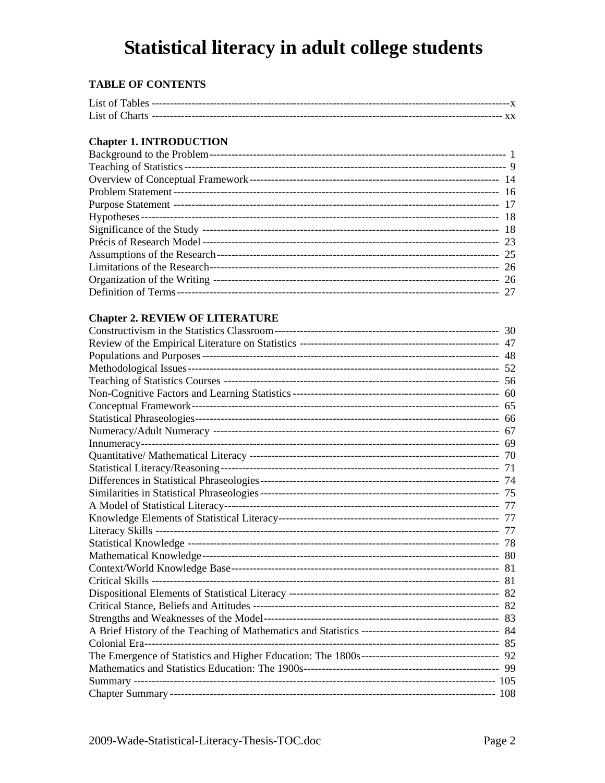### **TABLE OF CONTENTS**

### **Chapter 1. INTRODUCTION**

### **Chapter 2. REVIEW OF LITERATURE**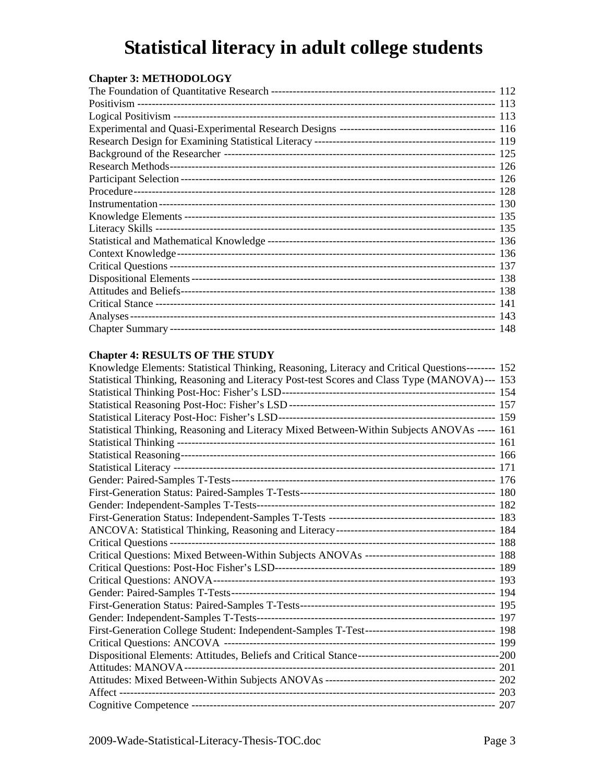| <b>Chapter 3: METHODOLOGY</b> |  |
|-------------------------------|--|
|                               |  |
|                               |  |
|                               |  |
|                               |  |
|                               |  |
|                               |  |
|                               |  |
|                               |  |
|                               |  |
|                               |  |
|                               |  |
|                               |  |
|                               |  |
|                               |  |
|                               |  |
|                               |  |
|                               |  |
|                               |  |
|                               |  |
|                               |  |

### **Chapter 4: RESULTS OF THE STUDY**

| Knowledge Elements: Statistical Thinking, Reasoning, Literacy and Critical Questions-------- 152 |  |
|--------------------------------------------------------------------------------------------------|--|
| Statistical Thinking, Reasoning and Literacy Post-test Scores and Class Type (MANOVA)--- 153     |  |
|                                                                                                  |  |
|                                                                                                  |  |
|                                                                                                  |  |
| Statistical Thinking, Reasoning and Literacy Mixed Between-Within Subjects ANOVAs ----- 161      |  |
|                                                                                                  |  |
|                                                                                                  |  |
|                                                                                                  |  |
|                                                                                                  |  |
|                                                                                                  |  |
|                                                                                                  |  |
|                                                                                                  |  |
|                                                                                                  |  |
|                                                                                                  |  |
| Critical Questions: Mixed Between-Within Subjects ANOVAs ----------------------------------- 188 |  |
|                                                                                                  |  |
|                                                                                                  |  |
|                                                                                                  |  |
|                                                                                                  |  |
|                                                                                                  |  |
|                                                                                                  |  |
|                                                                                                  |  |
|                                                                                                  |  |
|                                                                                                  |  |
|                                                                                                  |  |
|                                                                                                  |  |
|                                                                                                  |  |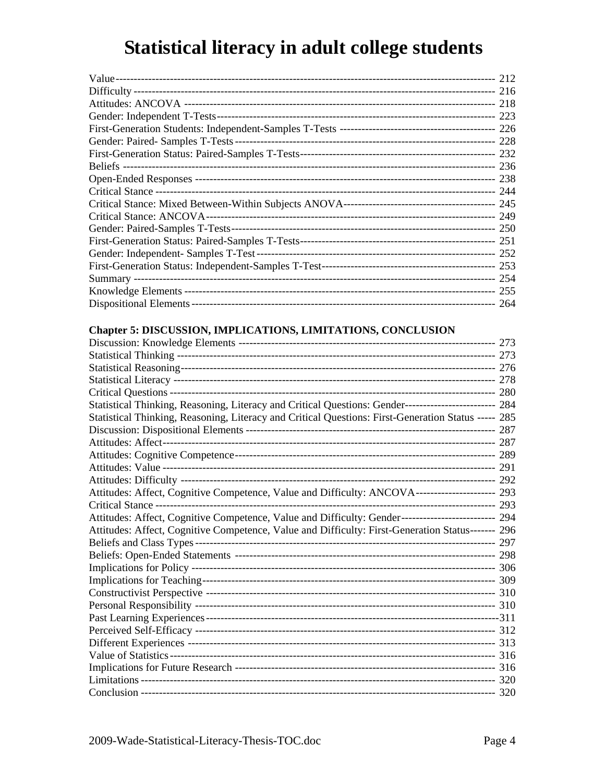### Chapter 5: DISCUSSION, IMPLICATIONS, LIMITATIONS, CONCLUSION

| Statistical Thinking, Reasoning, Literacy and Critical Questions: Gender-------------------------- 284 |  |
|--------------------------------------------------------------------------------------------------------|--|
| Statistical Thinking, Reasoning, Literacy and Critical Questions: First-Generation Status ----- 285    |  |
|                                                                                                        |  |
|                                                                                                        |  |
|                                                                                                        |  |
|                                                                                                        |  |
|                                                                                                        |  |
| Attitudes: Affect, Cognitive Competence, Value and Difficulty: ANCOVA--------------------- 293         |  |
|                                                                                                        |  |
| Attitudes: Affect, Cognitive Competence, Value and Difficulty: Gender------------------------- 294     |  |
| Attitudes: Affect, Cognitive Competence, Value and Difficulty: First-Generation Status------- 296      |  |
|                                                                                                        |  |
|                                                                                                        |  |
|                                                                                                        |  |
|                                                                                                        |  |
|                                                                                                        |  |
|                                                                                                        |  |
|                                                                                                        |  |
|                                                                                                        |  |
|                                                                                                        |  |
|                                                                                                        |  |
|                                                                                                        |  |
|                                                                                                        |  |
|                                                                                                        |  |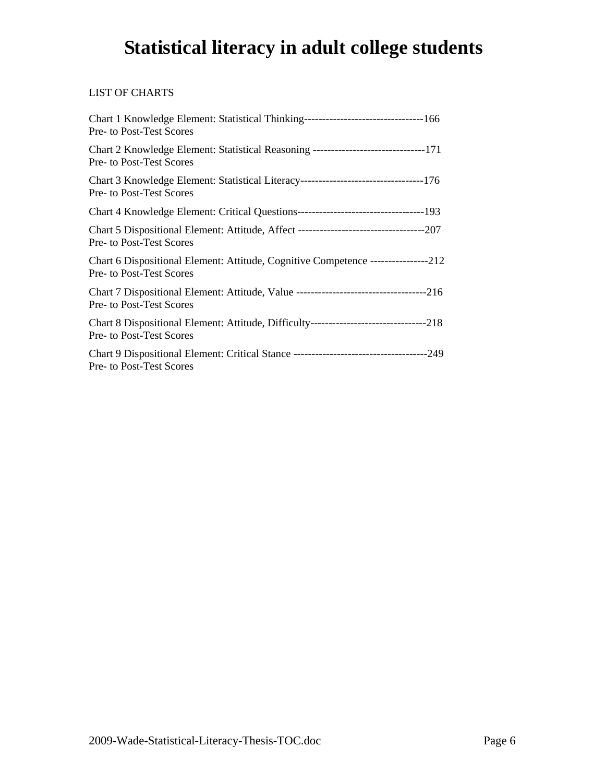### LIST OF CHARTS

| Pre- to Post-Test Scores                                                                                              |
|-----------------------------------------------------------------------------------------------------------------------|
| Chart 2 Knowledge Element: Statistical Reasoning --------------------------------171<br>Pre- to Post-Test Scores      |
| Chart 3 Knowledge Element: Statistical Literacy-----------------------------------176<br>Pre- to Post-Test Scores     |
| Chart 4 Knowledge Element: Critical Questions-----------------------------------193                                   |
| Pre- to Post-Test Scores                                                                                              |
| Chart 6 Dispositional Element: Attitude, Cognitive Competence ----------------212<br>Pre- to Post-Test Scores         |
| Pre- to Post-Test Scores                                                                                              |
| Chart 8 Dispositional Element: Attitude, Difficulty-----------------------------------218<br>Pre- to Post-Test Scores |
| Pre- to Post-Test Scores                                                                                              |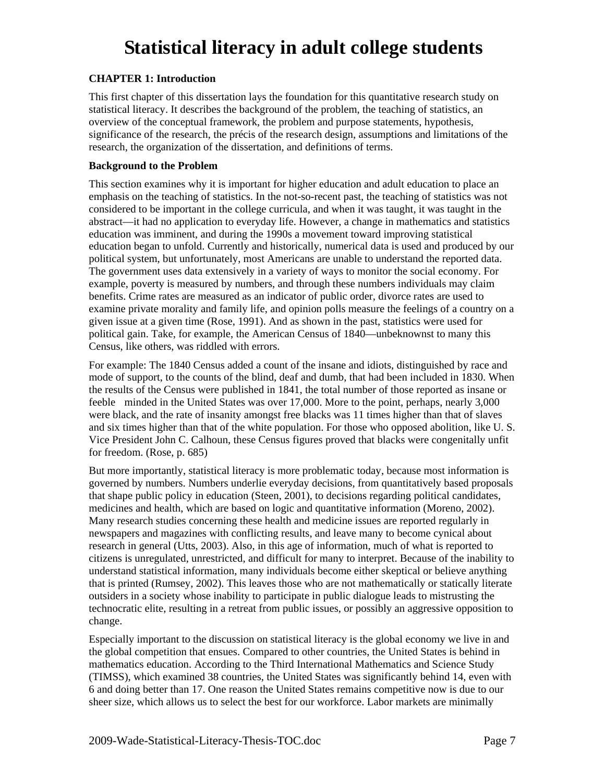### **CHAPTER 1: Introduction**

This first chapter of this dissertation lays the foundation for this quantitative research study on statistical literacy. It describes the background of the problem, the teaching of statistics, an overview of the conceptual framework, the problem and purpose statements, hypothesis, significance of the research, the précis of the research design, assumptions and limitations of the research, the organization of the dissertation, and definitions of terms.

#### **Background to the Problem**

This section examines why it is important for higher education and adult education to place an emphasis on the teaching of statistics. In the not-so-recent past, the teaching of statistics was not considered to be important in the college curricula, and when it was taught, it was taught in the abstract—it had no application to everyday life. However, a change in mathematics and statistics education was imminent, and during the 1990s a movement toward improving statistical education began to unfold. Currently and historically, numerical data is used and produced by our political system, but unfortunately, most Americans are unable to understand the reported data. The government uses data extensively in a variety of ways to monitor the social economy. For example, poverty is measured by numbers, and through these numbers individuals may claim benefits. Crime rates are measured as an indicator of public order, divorce rates are used to examine private morality and family life, and opinion polls measure the feelings of a country on a given issue at a given time (Rose, 1991). And as shown in the past, statistics were used for political gain. Take, for example, the American Census of 1840—unbeknownst to many this Census, like others, was riddled with errors.

For example: The 1840 Census added a count of the insane and idiots, distinguished by race and mode of support, to the counts of the blind, deaf and dumb, that had been included in 1830. When the results of the Census were published in 1841, the total number of those reported as insane or feeble minded in the United States was over 17,000. More to the point, perhaps, nearly 3,000 were black, and the rate of insanity amongst free blacks was 11 times higher than that of slaves and six times higher than that of the white population. For those who opposed abolition, like U. S. Vice President John C. Calhoun, these Census figures proved that blacks were congenitally unfit for freedom. (Rose, p. 685)

But more importantly, statistical literacy is more problematic today, because most information is governed by numbers. Numbers underlie everyday decisions, from quantitatively based proposals that shape public policy in education (Steen, 2001), to decisions regarding political candidates, medicines and health, which are based on logic and quantitative information (Moreno, 2002). Many research studies concerning these health and medicine issues are reported regularly in newspapers and magazines with conflicting results, and leave many to become cynical about research in general (Utts, 2003). Also, in this age of information, much of what is reported to citizens is unregulated, unrestricted, and difficult for many to interpret. Because of the inability to understand statistical information, many individuals become either skeptical or believe anything that is printed (Rumsey, 2002). This leaves those who are not mathematically or statically literate outsiders in a society whose inability to participate in public dialogue leads to mistrusting the technocratic elite, resulting in a retreat from public issues, or possibly an aggressive opposition to change.

Especially important to the discussion on statistical literacy is the global economy we live in and the global competition that ensues. Compared to other countries, the United States is behind in mathematics education. According to the Third International Mathematics and Science Study (TIMSS), which examined 38 countries, the United States was significantly behind 14, even with 6 and doing better than 17. One reason the United States remains competitive now is due to our sheer size, which allows us to select the best for our workforce. Labor markets are minimally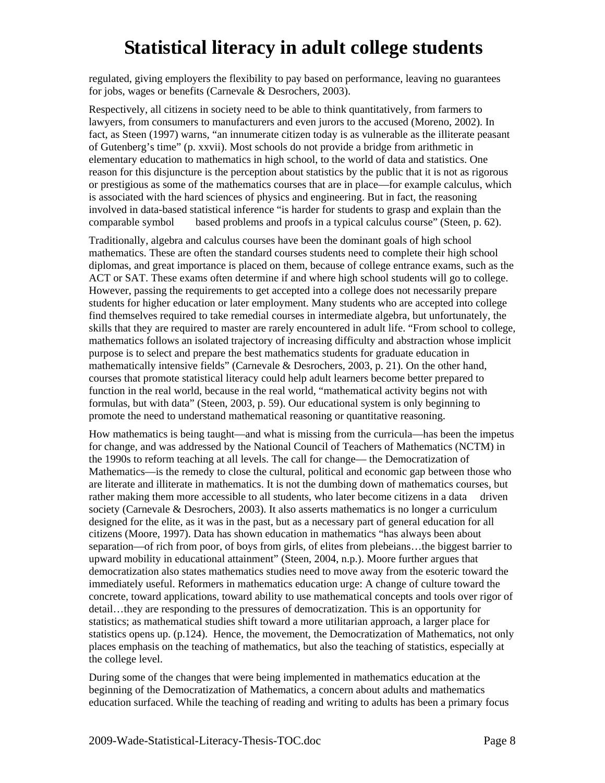regulated, giving employers the flexibility to pay based on performance, leaving no guarantees for jobs, wages or benefits (Carnevale & Desrochers, 2003).

Respectively, all citizens in society need to be able to think quantitatively, from farmers to lawyers, from consumers to manufacturers and even jurors to the accused (Moreno, 2002). In fact, as Steen (1997) warns, "an innumerate citizen today is as vulnerable as the illiterate peasant of Gutenberg's time" (p. xxvii). Most schools do not provide a bridge from arithmetic in elementary education to mathematics in high school, to the world of data and statistics. One reason for this disjuncture is the perception about statistics by the public that it is not as rigorous or prestigious as some of the mathematics courses that are in place—for example calculus, which is associated with the hard sciences of physics and engineering. But in fact, the reasoning involved in data-based statistical inference "is harder for students to grasp and explain than the comparable symbol based problems and proofs in a typical calculus course" (Steen, p. 62).

Traditionally, algebra and calculus courses have been the dominant goals of high school mathematics. These are often the standard courses students need to complete their high school diplomas, and great importance is placed on them, because of college entrance exams, such as the ACT or SAT. These exams often determine if and where high school students will go to college. However, passing the requirements to get accepted into a college does not necessarily prepare students for higher education or later employment. Many students who are accepted into college find themselves required to take remedial courses in intermediate algebra, but unfortunately, the skills that they are required to master are rarely encountered in adult life. "From school to college, mathematics follows an isolated trajectory of increasing difficulty and abstraction whose implicit purpose is to select and prepare the best mathematics students for graduate education in mathematically intensive fields" (Carnevale & Desrochers, 2003, p. 21). On the other hand, courses that promote statistical literacy could help adult learners become better prepared to function in the real world, because in the real world, "mathematical activity begins not with formulas, but with data" (Steen, 2003, p. 59). Our educational system is only beginning to promote the need to understand mathematical reasoning or quantitative reasoning.

How mathematics is being taught—and what is missing from the curricula—has been the impetus for change, and was addressed by the National Council of Teachers of Mathematics (NCTM) in the 1990s to reform teaching at all levels. The call for change— the Democratization of Mathematics—is the remedy to close the cultural, political and economic gap between those who are literate and illiterate in mathematics. It is not the dumbing down of mathematics courses, but rather making them more accessible to all students, who later become citizens in a data driven society (Carnevale & Desrochers, 2003). It also asserts mathematics is no longer a curriculum designed for the elite, as it was in the past, but as a necessary part of general education for all citizens (Moore, 1997). Data has shown education in mathematics "has always been about separation—of rich from poor, of boys from girls, of elites from plebeians…the biggest barrier to upward mobility in educational attainment" (Steen, 2004, n.p.). Moore further argues that democratization also states mathematics studies need to move away from the esoteric toward the immediately useful. Reformers in mathematics education urge: A change of culture toward the concrete, toward applications, toward ability to use mathematical concepts and tools over rigor of detail…they are responding to the pressures of democratization. This is an opportunity for statistics; as mathematical studies shift toward a more utilitarian approach, a larger place for statistics opens up. (p.124). Hence, the movement, the Democratization of Mathematics, not only places emphasis on the teaching of mathematics, but also the teaching of statistics, especially at the college level.

During some of the changes that were being implemented in mathematics education at the beginning of the Democratization of Mathematics, a concern about adults and mathematics education surfaced. While the teaching of reading and writing to adults has been a primary focus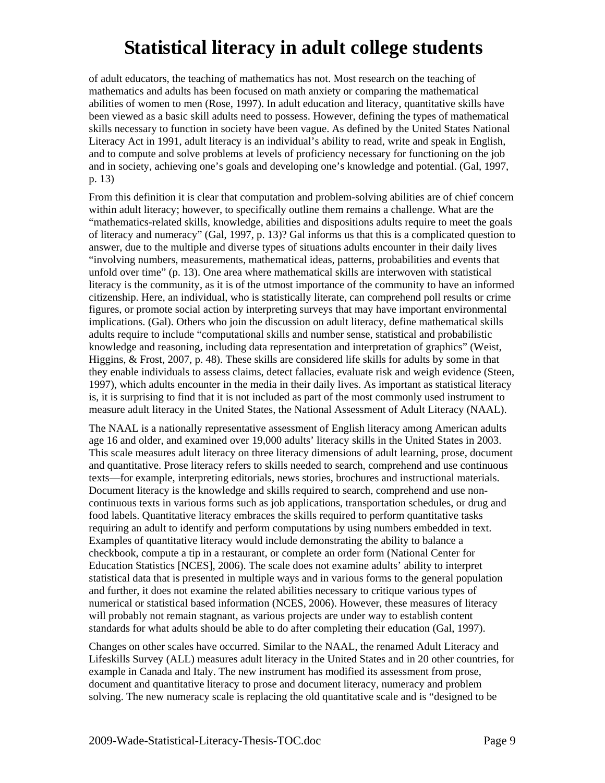of adult educators, the teaching of mathematics has not. Most research on the teaching of mathematics and adults has been focused on math anxiety or comparing the mathematical abilities of women to men (Rose, 1997). In adult education and literacy, quantitative skills have been viewed as a basic skill adults need to possess. However, defining the types of mathematical skills necessary to function in society have been vague. As defined by the United States National Literacy Act in 1991, adult literacy is an individual's ability to read, write and speak in English, and to compute and solve problems at levels of proficiency necessary for functioning on the job and in society, achieving one's goals and developing one's knowledge and potential. (Gal, 1997, p. 13)

From this definition it is clear that computation and problem-solving abilities are of chief concern within adult literacy; however, to specifically outline them remains a challenge. What are the "mathematics-related skills, knowledge, abilities and dispositions adults require to meet the goals of literacy and numeracy" (Gal, 1997, p. 13)? Gal informs us that this is a complicated question to answer, due to the multiple and diverse types of situations adults encounter in their daily lives "involving numbers, measurements, mathematical ideas, patterns, probabilities and events that unfold over time" (p. 13). One area where mathematical skills are interwoven with statistical literacy is the community, as it is of the utmost importance of the community to have an informed citizenship. Here, an individual, who is statistically literate, can comprehend poll results or crime figures, or promote social action by interpreting surveys that may have important environmental implications. (Gal). Others who join the discussion on adult literacy, define mathematical skills adults require to include "computational skills and number sense, statistical and probabilistic knowledge and reasoning, including data representation and interpretation of graphics" (Weist, Higgins, & Frost, 2007, p. 48). These skills are considered life skills for adults by some in that they enable individuals to assess claims, detect fallacies, evaluate risk and weigh evidence (Steen, 1997), which adults encounter in the media in their daily lives. As important as statistical literacy is, it is surprising to find that it is not included as part of the most commonly used instrument to measure adult literacy in the United States, the National Assessment of Adult Literacy (NAAL).

The NAAL is a nationally representative assessment of English literacy among American adults age 16 and older, and examined over 19,000 adults' literacy skills in the United States in 2003. This scale measures adult literacy on three literacy dimensions of adult learning, prose, document and quantitative. Prose literacy refers to skills needed to search, comprehend and use continuous texts—for example, interpreting editorials, news stories, brochures and instructional materials. Document literacy is the knowledge and skills required to search, comprehend and use noncontinuous texts in various forms such as job applications, transportation schedules, or drug and food labels. Quantitative literacy embraces the skills required to perform quantitative tasks requiring an adult to identify and perform computations by using numbers embedded in text. Examples of quantitative literacy would include demonstrating the ability to balance a checkbook, compute a tip in a restaurant, or complete an order form (National Center for Education Statistics [NCES], 2006). The scale does not examine adults' ability to interpret statistical data that is presented in multiple ways and in various forms to the general population and further, it does not examine the related abilities necessary to critique various types of numerical or statistical based information (NCES, 2006). However, these measures of literacy will probably not remain stagnant, as various projects are under way to establish content standards for what adults should be able to do after completing their education (Gal, 1997).

Changes on other scales have occurred. Similar to the NAAL, the renamed Adult Literacy and Lifeskills Survey (ALL) measures adult literacy in the United States and in 20 other countries, for example in Canada and Italy. The new instrument has modified its assessment from prose, document and quantitative literacy to prose and document literacy, numeracy and problem solving. The new numeracy scale is replacing the old quantitative scale and is "designed to be